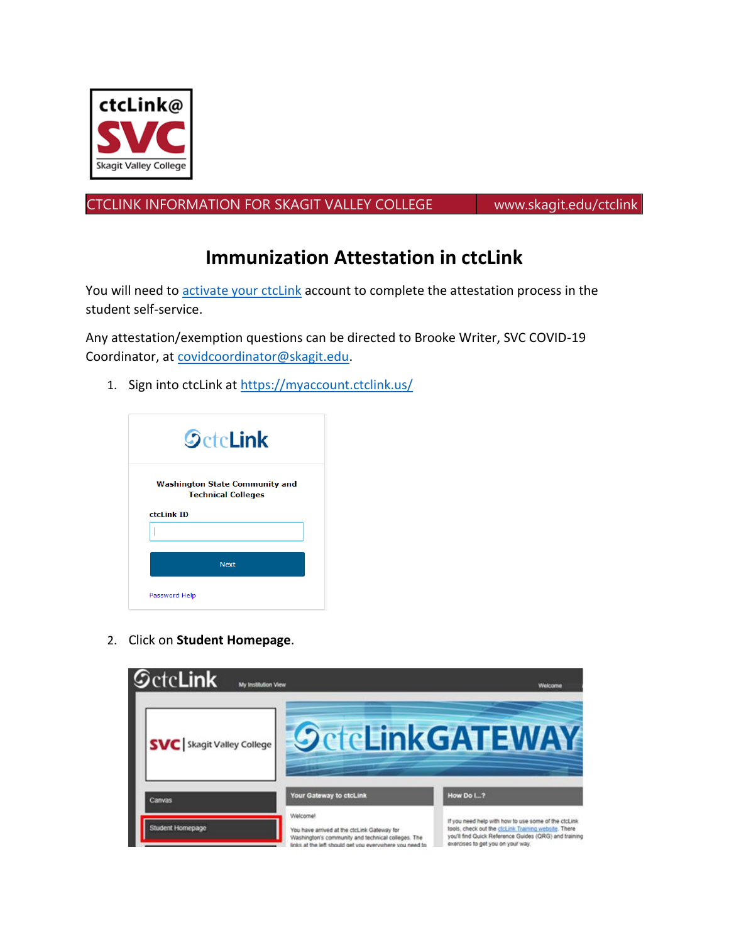## **Immunization Attestation in ctcLink**

You will need to activate your ctclink account to complete the attestation process in the student self-service.

Any attestation/exemption questions can be directed to Brooke Writer, SVC COVID-19 Coordinator, at covidcoordinator@skagit.edu.

1. Sign i[nto ctcLink at https://m](https://ctclink.skagit.edu/ctclink-students/)yaccount.ctclink.us/

|               | <b>SctcLink</b>                                                    |
|---------------|--------------------------------------------------------------------|
|               | <b>Washington State Community and</b><br><b>Technical Colleges</b> |
| ctcLink ID    |                                                                    |
|               | <b>Next</b>                                                        |
| Password Help |                                                                    |

2. Click on **Student Homepage**.

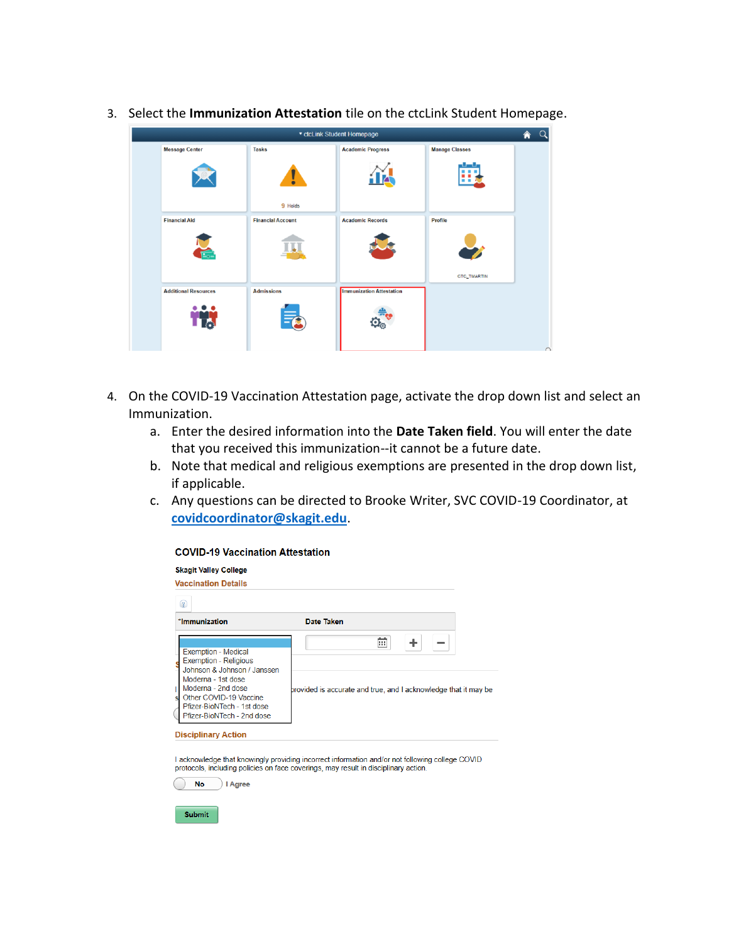

3. Select the **Immunization Attestation** tile on the ctcLink Student Homepage.

- 4. On the COVID-19 Vaccination Attestation page, activate the drop down list and select an Immunization.
	- a. Enter the desired information into the **Date Taken field**. You will enter the date that you received this immunization--it cannot be a future date.
	- b. Note that medical and religious exemptions are presented in the drop down list, if applicable.
	- c. Any questions can be directed to Brooke Writer, SVC COVID-19 Coordinator, at **[covidcoordinator@skagit.edu](mailto:covidcoordinator@skagit.edu)**.

| <b>COVID-19 Vaccination Attestation</b>                                                                                                                                                                                           |                                                                               |
|-----------------------------------------------------------------------------------------------------------------------------------------------------------------------------------------------------------------------------------|-------------------------------------------------------------------------------|
| <b>Skagit Valley College</b><br><b>Vaccination Details</b>                                                                                                                                                                        |                                                                               |
| $\circled{?}$<br>*Immunization                                                                                                                                                                                                    | Date Taken                                                                    |
| <b>Exemption - Medical</b><br><b>Exemption - Religious</b><br>Johnson & Johnson / Janssen<br>Moderna - 1st dose<br>Moderna - 2nd dose<br>Other COVID-19 Vaccine<br>sl<br>Pfizer-BioNTech - 1st dose<br>Pfizer-BioNTech - 2nd dose | $\pm$<br>丽<br>provided is accurate and true, and I acknowledge that it may be |
| <b>Disciplinary Action</b>                                                                                                                                                                                                        |                                                                               |

I acknowledge that knowingly providing incorrect information and/or not following college COVID protocols, including policies on face coverings, may result in disciplinary action.

**No** Reference

Submit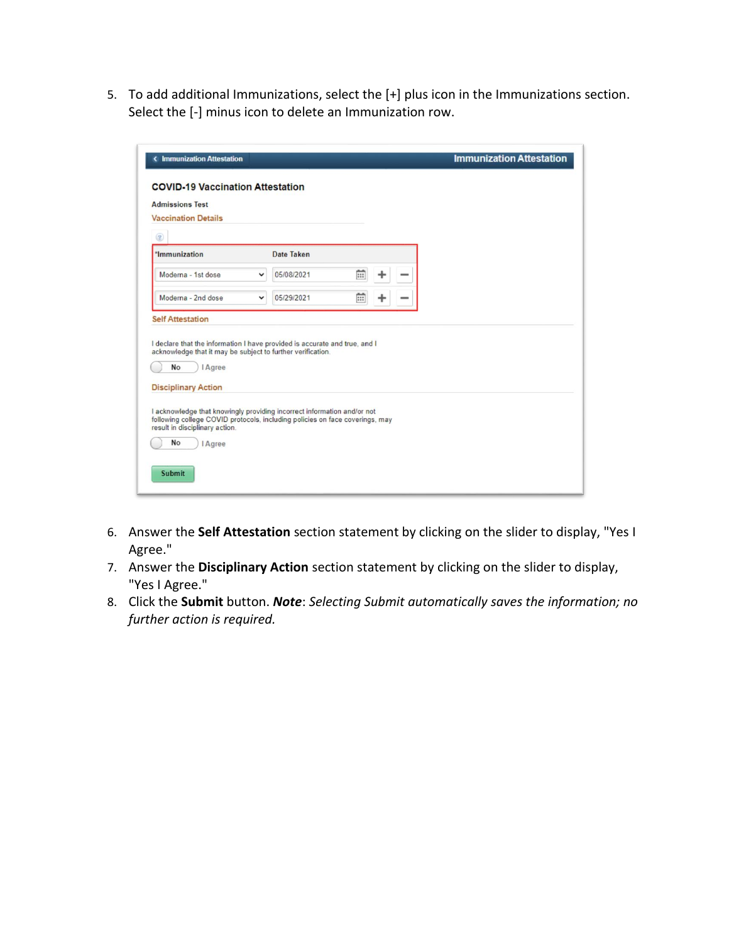5. To add additional Immunizations, select the [+] plus icon in the Immunizations section. Select the [-] minus icon to delete an Immunization row.

| <b>COVID-19 Vaccination Attestation</b>                                                                           |                                                                            |   |  |  |
|-------------------------------------------------------------------------------------------------------------------|----------------------------------------------------------------------------|---|--|--|
| <b>Admissions Test</b><br><b>Vaccination Details</b>                                                              |                                                                            |   |  |  |
| $\circledR$                                                                                                       |                                                                            |   |  |  |
| *Immunization                                                                                                     | Date Taken                                                                 |   |  |  |
| Moderna - 1st dose                                                                                                | 爾<br>05/08/2021<br>v                                                       | ÷ |  |  |
| Moderna - 2nd dose                                                                                                | m<br>05/29/2021<br>v                                                       | ÷ |  |  |
|                                                                                                                   |                                                                            |   |  |  |
| acknowledge that it may be subject to further verification.<br>No<br><b>I</b> Agree<br><b>Disciplinary Action</b> | I declare that the information I have provided is accurate and true, and I |   |  |  |

- 6. Answer the **Self Attestation** section statement by clicking on the slider to display, "Yes I Agree."
- 7. Answer the **Disciplinary Action** section statement by clicking on the slider to display, "Yes I Agree."
- 8. Click the **Submit** button. *Note*: *Selecting Submit automatically saves the information; no further action is required.*